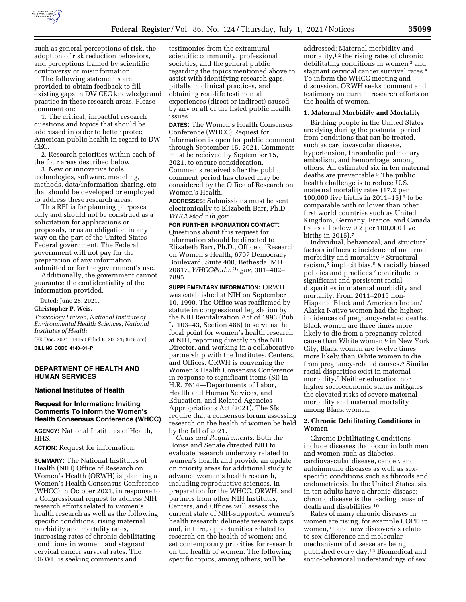

such as general perceptions of risk, the adoption of risk reduction behaviors, and perceptions framed by scientific controversy or misinformation.

The following statements are provided to obtain feedback to fill existing gaps in DW CEC knowledge and practice in these research areas. Please comment on:

1. The critical, impactful research questions and topics that should be addressed in order to better protect American public health in regard to DW CEC.

2. Research priorities within each of the four areas described below.

3. New or innovative tools, technologies, software, modeling, methods, data/information sharing, etc. that should be developed or employed to address these research areas.

This RFI is for planning purposes only and should not be construed as a solicitation for applications or proposals, or as an obligation in any way on the part of the United States Federal government. The Federal government will not pay for the preparation of any information submitted or for the government's use.

Additionally, the government cannot guarantee the confidentiality of the information provided.

Dated: June 28, 2021.

#### **Christopher P. Weis,**

*Toxicology Liaison, National Institute of Environmental Health Sciences, National Institutes of Health.* 

[FR Doc. 2021–14150 Filed 6–30–21; 8:45 am] **BILLING CODE 4140–01–P** 

## **DEPARTMENT OF HEALTH AND HUMAN SERVICES**

**National Institutes of Health** 

## **Request for Information: Inviting Comments To Inform the Women's Health Consensus Conference (WHCC)**

**AGENCY:** National Institutes of Health, HHS.

**ACTION:** Request for information.

**SUMMARY:** The National Institutes of Health (NIH) Office of Research on Women's Health (ORWH) is planning a Women's Health Consensus Conference (WHCC) in October 2021, in response to a Congressional request to address NIH research efforts related to women's health research as well as the following specific conditions, rising maternal morbidity and mortality rates, increasing rates of chronic debilitating conditions in women, and stagnant cervical cancer survival rates. The ORWH is seeking comments and

testimonies from the extramural scientific community, professional societies, and the general public regarding the topics mentioned above to assist with identifying research gaps, pitfalls in clinical practices, and obtaining real-life testimonial experiences (direct or indirect) caused by any or all of the listed public health issues.

**DATES:** The Women's Health Consensus Conference (WHCC) Request for Information is open for public comment through September 15, 2021. Comments must be received by September 15, 2021, to ensure consideration. Comments received after the public comment period has closed may be considered by the Office of Research on Women's Health.

**ADDRESSES:** Submissions must be sent electronically to Elizabeth Barr, Ph.D., *[WHCC@od.nih.gov](mailto:WHCC@od.nih.gov)*.

## **FOR FURTHER INFORMATION CONTACT:**  Questions about this request for information should be directed to Elizabeth Barr, Ph.D., Office of Research on Women's Health, 6707 Democracy Boulevard, Suite 400, Bethesda, MD 20817, *[WHCC@od.nih.gov,](mailto:WHCC@od.nih.gov)* 301–402– 7895.

**SUPPLEMENTARY INFORMATION:** ORWH was established at NIH on September 10, 1990. The Office was reaffirmed by statute in congressional legislation by the NIH Revitalization Act of 1993 (Pub. L. 103–43, Section 486) to serve as the focal point for women's health research at NIH, reporting directly to the NIH Director, and working in a collaborative partnership with the Institutes, Centers, and Offices. ORWH is convening the Women's Health Consensus Conference in response to significant items (SI) in H.R. 7614—Departments of Labor, Health and Human Services, and Education, and Related Agencies Appropriations Act (2021). The SIs require that a consensus forum assessing research on the health of women be held by the fall of 2021.

*Goals and Requirements.* Both the House and Senate directed NIH to evaluate research underway related to women's health and provide an update on priority areas for additional study to advance women's health research, including reproductive sciences. In preparation for the WHCC, ORWH, and partners from other NIH Institutes, Centers, and Offices will assess the current state of NIH-supported women's health research; delineate research gaps and, in turn, opportunities related to research on the health of women; and set contemporary priorities for research on the health of women. The following specific topics, among others, will be

addressed: Maternal morbidity and mortality,<sup>12</sup> the rising rates of chronic debilitating conditions in women 3 and stagnant cervical cancer survival rates.4 To inform the WHCC meeting and discussion, ORWH seeks comment and testimony on current research efforts on the health of women.

#### **1. Maternal Morbidity and Mortality**

Birthing people in the United States are dying during the postnatal period from conditions that can be treated, such as cardiovascular disease, hypertension, thrombotic pulmonary embolism, and hemorrhage, among others. An estimated six in ten maternal deaths are preventable.5 The public health challenge is to reduce U.S. maternal mortality rates (17.2 per 100,000 live births in 2011–15) 6 to be comparable with or lower than other first world countries such as United Kingdom, Germany, France, and Canada (rates all below 9.2 per 100,000 live births in 2015).7

Individual, behavioral, and structural factors influence incidence of maternal morbidity and mortality.5 Structural racism,<sup>5</sup> implicit bias,<sup>6</sup> & racially biased policies and practices 7 contribute to significant and persistent racial disparities in maternal morbidity and mortality. From 2011–2015 non-Hispanic Black and American Indian/ Alaska Native women had the highest incidences of pregnancy-related deaths. Black women are three times more likely to die from a pregnancy-related cause than White women,<sup>6</sup> in New York City, Black women are twelve times more likely than White women to die from pregnancy-related causes.8 Similar racial disparities exist in maternal morbidity.9 Neither education nor higher socioeconomic status mitigates the elevated risks of severe maternal morbidity and maternal mortality among Black women.

## **2. Chronic Debilitating Conditions in Women**

Chronic Debilitating Conditions include diseases that occur in both men and women such as diabetes, cardiovascular disease, cancer, and autoimmune diseases as well as sexspecific conditions such as fibroids and endometriosis. In the United States, six in ten adults have a chronic disease; chronic disease is the leading cause of death and disabilities.10

Rates of many chronic diseases in women are rising, for example COPD in women,11 and new discoveries related to sex-difference and molecular mechanisms of disease are being published every day.12 Biomedical and socio-behavioral understandings of sex